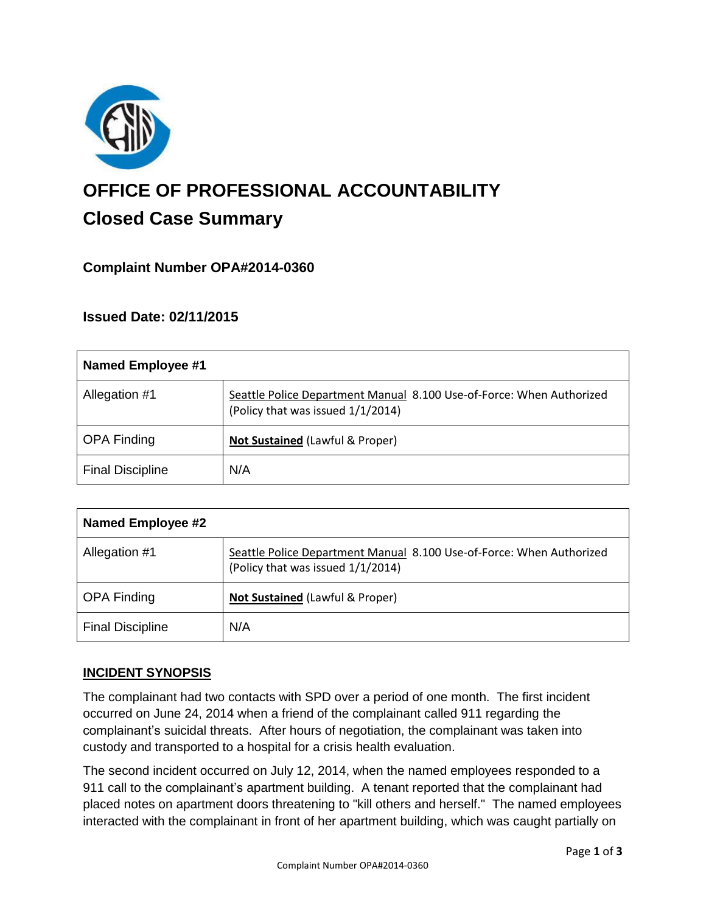

# **OFFICE OF PROFESSIONAL ACCOUNTABILITY Closed Case Summary**

# **Complaint Number OPA#2014-0360**

### **Issued Date: 02/11/2015**

| <b>Named Employee #1</b> |                                                                                                           |
|--------------------------|-----------------------------------------------------------------------------------------------------------|
| Allegation #1            | Seattle Police Department Manual 8.100 Use-of-Force: When Authorized<br>(Policy that was issued 1/1/2014) |
| <b>OPA Finding</b>       | Not Sustained (Lawful & Proper)                                                                           |
| <b>Final Discipline</b>  | N/A                                                                                                       |

| <b>Named Employee #2</b> |                                                                                                           |
|--------------------------|-----------------------------------------------------------------------------------------------------------|
| Allegation #1            | Seattle Police Department Manual 8.100 Use-of-Force: When Authorized<br>(Policy that was issued 1/1/2014) |
| <b>OPA Finding</b>       | Not Sustained (Lawful & Proper)                                                                           |
| <b>Final Discipline</b>  | N/A                                                                                                       |

### **INCIDENT SYNOPSIS**

The complainant had two contacts with SPD over a period of one month. The first incident occurred on June 24, 2014 when a friend of the complainant called 911 regarding the complainant's suicidal threats. After hours of negotiation, the complainant was taken into custody and transported to a hospital for a crisis health evaluation.

The second incident occurred on July 12, 2014, when the named employees responded to a 911 call to the complainant's apartment building. A tenant reported that the complainant had placed notes on apartment doors threatening to "kill others and herself." The named employees interacted with the complainant in front of her apartment building, which was caught partially on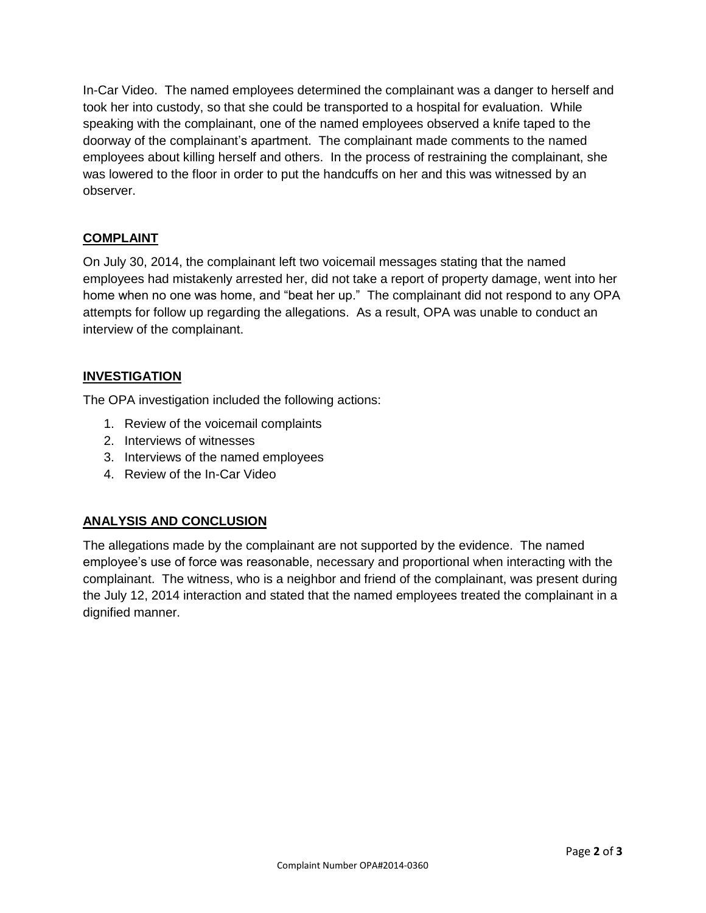In-Car Video. The named employees determined the complainant was a danger to herself and took her into custody, so that she could be transported to a hospital for evaluation. While speaking with the complainant, one of the named employees observed a knife taped to the doorway of the complainant's apartment. The complainant made comments to the named employees about killing herself and others. In the process of restraining the complainant, she was lowered to the floor in order to put the handcuffs on her and this was witnessed by an observer.

# **COMPLAINT**

On July 30, 2014, the complainant left two voicemail messages stating that the named employees had mistakenly arrested her, did not take a report of property damage, went into her home when no one was home, and "beat her up." The complainant did not respond to any OPA attempts for follow up regarding the allegations. As a result, OPA was unable to conduct an interview of the complainant.

### **INVESTIGATION**

The OPA investigation included the following actions:

- 1. Review of the voicemail complaints
- 2. Interviews of witnesses
- 3. Interviews of the named employees
- 4. Review of the In-Car Video

### **ANALYSIS AND CONCLUSION**

The allegations made by the complainant are not supported by the evidence. The named employee's use of force was reasonable, necessary and proportional when interacting with the complainant. The witness, who is a neighbor and friend of the complainant, was present during the July 12, 2014 interaction and stated that the named employees treated the complainant in a dignified manner.